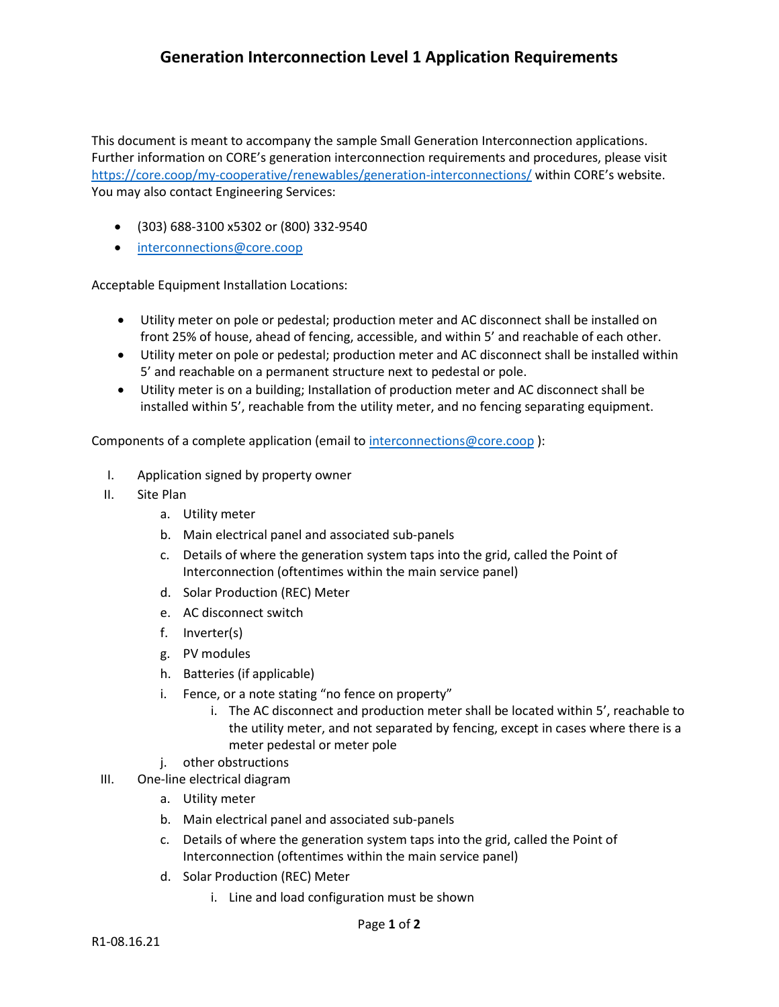## **Generation Interconnection Level 1 Application Requirements**

This document is meant to accompany the sample Small Generation Interconnection applications. Further information on CORE's generation interconnection requirements and procedures, please visit <https://core.coop/my-cooperative/renewables/generation-interconnections/> within CORE's website. You may also contact Engineering Services:

- (303) 688-3100 x5302 or (800) 332-9540
- [interconnections@core.coop](mailto:interconnections@core.coop)

Acceptable Equipment Installation Locations:

- Utility meter on pole or pedestal; production meter and AC disconnect shall be installed on front 25% of house, ahead of fencing, accessible, and within 5' and reachable of each other.
- Utility meter on pole or pedestal; production meter and AC disconnect shall be installed within 5' and reachable on a permanent structure next to pedestal or pole.
- Utility meter is on a building; Installation of production meter and AC disconnect shall be installed within 5', reachable from the utility meter, and no fencing separating equipment.

Components of a complete application (email to [interconnections@core.coop](mailto:interconnections@core.coop)):

- I. Application signed by property owner
- II. Site Plan
	- a. Utility meter
	- b. Main electrical panel and associated sub-panels
	- c. Details of where the generation system taps into the grid, called the Point of Interconnection (oftentimes within the main service panel)
	- d. Solar Production (REC) Meter
	- e. AC disconnect switch
	- f. Inverter(s)
	- g. PV modules
	- h. Batteries (if applicable)
	- i. Fence, or a note stating "no fence on property"
		- i. The AC disconnect and production meter shall be located within 5', reachable to the utility meter, and not separated by fencing, except in cases where there is a meter pedestal or meter pole
	- j. other obstructions
- III. One-line electrical diagram
	- a. Utility meter
	- b. Main electrical panel and associated sub-panels
	- c. Details of where the generation system taps into the grid, called the Point of Interconnection (oftentimes within the main service panel)
	- d. Solar Production (REC) Meter
		- i. Line and load configuration must be shown